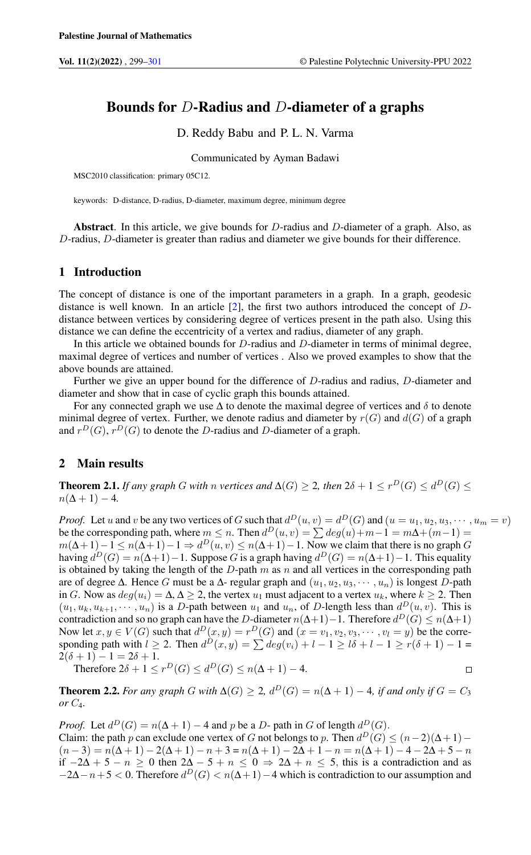# Bounds for D-Radius and D-diameter of a graphs

D. Reddy Babu and P. L. N. Varma

Communicated by Ayman Badawi

MSC2010 classification: primary 05C12.

keywords: D-distance, D-radius, D-diameter, maximum degree, minimum degree

Abstract. In this article, we give bounds for D-radius and D-diameter of a graph. Also, as D-radius, D-diameter is greater than radius and diameter we give bounds for their difference.

### 1 Introduction

The concept of distance is one of the important parameters in a graph. In a graph, geodesic distance is well known. In an article  $[2]$ , the first two authors introduced the concept of  $D$ distance between vertices by considering degree of vertices present in the path also. Using this distance we can define the eccentricity of a vertex and radius, diameter of any graph.

In this article we obtained bounds for D-radius and D-diameter in terms of minimal degree, maximal degree of vertices and number of vertices . Also we proved examples to show that the above bounds are attained.

Further we give an upper bound for the difference of D-radius and radius, D-diameter and diameter and show that in case of cyclic graph this bounds attained.

For any connected graph we use  $\Delta$  to denote the maximal degree of vertices and  $\delta$  to denote minimal degree of vertex. Further, we denote radius and diameter by  $r(G)$  and  $d(G)$  of a graph and  $r^D(G)$ ,  $r^D(G)$  to denote the D-radius and D-diameter of a graph.

## 2 Main results

**Theorem 2.1.** *If any graph* G *with* n *vertices and*  $\Delta(G) \geq 2$ , *then*  $2\delta + 1 \leq r^D(G) \leq d^D(G) \leq$  $n(\Delta + 1) - 4$ .

*Proof.* Let u and v be any two vertices of G such that  $d^D(u, v) = d^D(G)$  and  $(u = u_1, u_2, u_3, \dots, u_m = v)$ be the corresponding path, where  $m \leq n$ . Then  $d^D(u, v) = \sum deg(u) + m - 1 = m\Delta + (m-1) =$  $m(\Delta+1)-1 \le n(\Delta+1)-1 \Rightarrow d^D(u,v) \le n(\Delta+1)-1$ . Now we claim that there is no graph G having  $d^D(G) = n(\Delta+1) - 1$ . Suppose G is a graph having  $d^D(G) = n(\Delta+1) - 1$ . This equality is obtained by taking the length of the  $D$ -path m as n and all vertices in the corresponding path are of degree  $\Delta$ . Hence G must be a  $\Delta$ - regular graph and  $(u_1, u_2, u_3, \dots, u_n)$  is longest D-path in G. Now as  $deg(u_i) = \Delta, \Delta \geq 2$ , the vertex  $u_1$  must adjacent to a vertex  $u_k$ , where  $k \geq 2$ . Then  $(u_1, u_k, u_{k+1}, \dots, u_n)$  is a D-path between  $u_1$  and  $u_n$ , of D-length less than  $d^D(u, v)$ . This is contradiction and so no graph can have the D-diameter  $n(\Delta+1)-1$ . Therefore  $d^D(G) \leq n(\Delta+1)$ Now let  $x, y \in V(G)$  such that  $d^D(x, y) = r^D(G)$  and  $(x = v_1, v_2, v_3, \dots, v_l = y)$  be the corresponding path with  $l \geq 2$ . Then  $d^D(x, y) = \sum deg(v_i) + l - 1 \geq l\delta + l - 1 \geq r(\delta + 1) - 1 =$  $2(\delta + 1) - 1 = 2\delta + 1.$  $\Box$ 

Therefore  $2\delta + 1 \le r^D(G) \le d^D(G) \le n(\Delta + 1) - 4$ .

**Theorem 2.2.** *For any graph* G *with*  $\Delta(G) \geq 2$ ,  $d^D(G) = n(\Delta + 1) - 4$ , *if and only if*  $G = C_3$ *or* C4*.*

*Proof.* Let  $d^D(G) = n(\Delta + 1) - 4$  and p be a D- path in G of length  $d^D(G)$ . Claim: the path p can exclude one vertex of G not belongs to p. Then  $d^D(G) \le (n-2)(\Delta+1)$  –  $(n-3) = n(\Delta+1) - 2(\Delta+1) - n + 3 = n(\Delta+1) - 2\Delta + 1 - n = n(\Delta+1) - 4 - 2\Delta + 5 - n$ if  $-2\Delta + 5 - n \ge 0$  then  $2\Delta - 5 + n \le 0 \Rightarrow 2\Delta + n \le 5$ , this is a contradiction and as  $-2\Delta-n+5 < 0$ . Therefore  $d^D(G) < n(\Delta+1)-4$  which is contradiction to our assumption and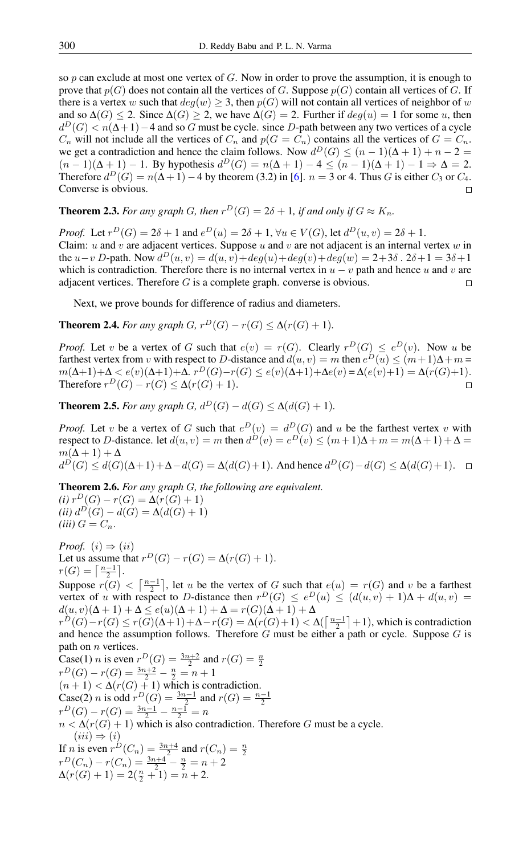so  $p$  can exclude at most one vertex of  $G$ . Now in order to prove the assumption, it is enough to prove that  $p(G)$  does not contain all the vertices of G. Suppose  $p(G)$  contain all vertices of G. If there is a vertex w such that  $deg(w) \geq 3$ , then  $p(G)$  will not contain all vertices of neighbor of w and so  $\Delta(G) \leq 2$ . Since  $\Delta(G) \geq 2$ , we have  $\Delta(G) = 2$ . Further if  $deg(u) = 1$  for some u, then  $d^D(G) < n(\Delta+1)-4$  and so G must be cycle. since D-path between any two vertices of a cycle  $C_n$  will not include all the vertices of  $C_n$  and  $p(G = C_n)$  contains all the vertices of  $G = C_n$ . we get a contradiction and hence the claim follows. Now  $d^D(G) \le (n-1)(\Delta+1) + n - 2 =$  $(n-1)(\Delta + 1) - 1$ . By hypothesis  $d^D(G) = n(\Delta + 1) - 4 \le (n-1)(\Delta + 1) - 1 \Rightarrow \Delta = 2$ . Therefore  $d^D(G) = n(\Delta + 1) - 4$  by theorem (3.2) in [\[6\]](#page-2-2).  $n = 3$  or 4. Thus G is either  $C_3$  or  $C_4$ . Converse is obvious.  $\Box$ 

**Theorem 2.3.** For any graph G, then  $r^D(G) = 2\delta + 1$ , if and only if  $G \approx K_n$ .

*Proof.* Let  $r^D(G) = 2\delta + 1$  and  $e^D(u) = 2\delta + 1$ ,  $\forall u \in V(G)$ , let  $d^D(u, v) = 2\delta + 1$ . Claim: u and v are adjacent vertices. Suppose u and v are not adjacent is an internal vertex w in the  $u-v$  D-path. Now  $d^D(u, v) = d(u, v) + deg(u) + deg(v) + deg(w) = 2 + 3\delta$ .  $2\delta + 1 = 3\delta + 1$ which is contradiction. Therefore there is no internal vertex in  $u - v$  path and hence u and v are adjacent vertices. Therefore  $G$  is a complete graph. converse is obvious.  $\Box$ 

Next, we prove bounds for difference of radius and diameters.

**Theorem 2.4.** For any graph G,  $r^D(G) - r(G) \leq \Delta(r(G) + 1)$ .

*Proof.* Let v be a vertex of G such that  $e(v) = r(G)$ . Clearly  $r^D(G) \leq e^D(v)$ . Now u be farthest vertex from v with respect to D-distance and  $d(u, v) = m$  then  $e^D(u) \le (m+1)\Delta + m$  $m(\Delta+1)+\Delta < e(v)(\Delta+1)+\Delta. r^D(G)-r(G) \leq e(v)(\Delta+1)+\Delta e(v) = \Delta(e(v)+1) = \Delta(r(G)+1).$ Therefore  $r^D(G) - r(G) \leq \Delta(r(G) + 1)$ .  $\Box$ 

**Theorem 2.5.** For any graph G,  $d^D(G) - d(G) \leq \Delta(d(G) + 1)$ .

*Proof.* Let v be a vertex of G such that  $e^D(v) = d^D(G)$  and u be the farthest vertex v with respect to D-distance. let  $d(u, v) = m$  then  $d^D(v) = e^D(v) \le (m+1)\Delta + m = m(\Delta+1) + \Delta =$  $m(\Delta + 1) + \Delta$  $d^D(G) \leq d(G)(\Delta+1)+\Delta-d(G)=\Delta(d(G)+1)$ . And hence  $d^D(G)-d(G) \leq \Delta(d(G)+1)$ .

Theorem 2.6. *For any graph* G*, the following are equivalent.*

 $(i) r^D(G) - r(G) = \Delta(r(G) + 1)$  $(ii) d^D(G) - d(G) = \Delta(d(G) + 1)$  $(iii)$   $G = C_n$ .

*Proof.*  $(i) \Rightarrow (ii)$ Let us assume that  $r^D(G) - r(G) = \Delta(r(G) + 1)$ .  $r(G) = \left\lceil \frac{n-1}{2} \right\rceil.$ 

Suppose  $r(G) < \left\lceil \frac{n-1}{2} \right\rceil$ , let u be the vertex of G such that  $e(u) = r(G)$  and v be a farthest vertex of u with respect to D-distance then  $r^D(G) \leq e^D(u) \leq (d(u, v) + 1)\Delta + d(u, v) =$  $d(u, v)(\Delta + 1) + \Delta \leq e(u)(\Delta + 1) + \Delta = r(G)(\Delta + 1) + \Delta$ 

 $r^D(G)-r(G) \le r(G)(\Delta+1)+\Delta-r(G)=\Delta(r(G)+1)<\Delta(\lceil\frac{n-1}{2}\rceil+1)$ , which is contradiction and hence the assumption follows. Therefore  $G$  must be either a path or cycle. Suppose  $G$  is path on *n* vertices.

Case(1) *n* is even  $r^D(G) = \frac{3n+2}{2}$  and  $r(G) = \frac{n}{2}$  $r^D(G) - r(G) = \frac{3n+2}{2} - \frac{n}{2} = n+1$  $(n + 1) < \Delta(r(G) + 1)$  which is contradiction. Case(2) *n* is odd  $r^D(G) = \frac{3n-1}{2}$  and  $r(G) = \frac{n-1}{2}$  $r^D(G) - r(G) = \frac{3n-1}{2} - \frac{n-1}{2} = n$  $n < \Delta(r(G) + 1)$  which is also contradiction. Therefore G must be a cycle.  $(iii) \Rightarrow (i)$ If *n* is even  $r^D(C_n) = \frac{3n+4}{2}$  and  $r(C_n) = \frac{n}{2}$ <br>  $r^D(C_n) - r(C_n) = \frac{3n+4}{2} - \frac{n}{2} = n+2$  $\Delta(r(G) + 1) = 2(\frac{n}{2} + 1) = n + 2.$